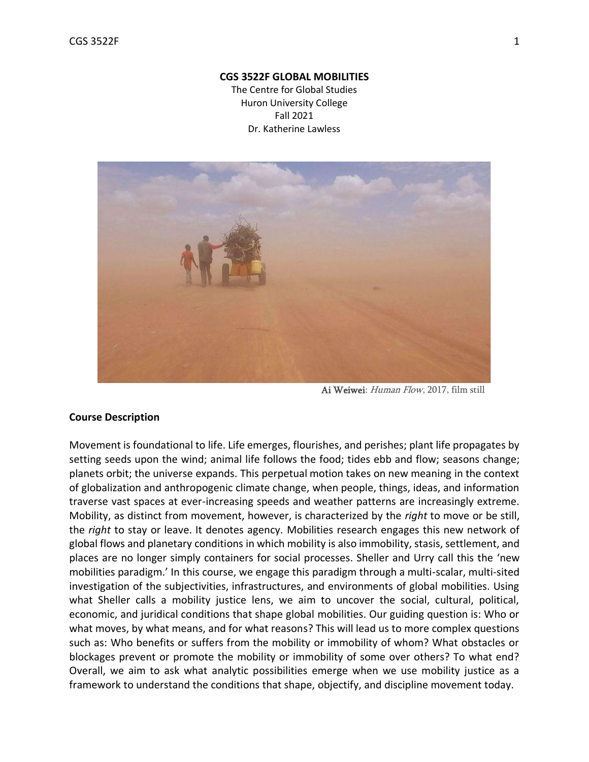#### **CGS 3522F GLOBAL MOBILITIES**

The Centre for Global Studies Huron University College Fall 2021 Dr. Katherine Lawless



Ai Weiwei: Human Flow, 2017, film still

#### **Course Description**

Movement is foundational to life. Life emerges, flourishes, and perishes; plant life propagates by setting seeds upon the wind; animal life follows the food; tides ebb and flow; seasons change; planets orbit; the universe expands. This perpetual motion takes on new meaning in the context of globalization and anthropogenic climate change, when people, things, ideas, and information traverse vast spaces at ever-increasing speeds and weather patterns are increasingly extreme. Mobility, as distinct from movement, however, is characterized by the *right* to move or be still, the *right* to stay or leave. It denotes agency. Mobilities research engages this new network of global flows and planetary conditions in which mobility is also immobility, stasis, settlement, and places are no longer simply containers for social processes. Sheller and Urry call this the 'new mobilities paradigm.' In this course, we engage this paradigm through a multi-scalar, multi-sited investigation of the subjectivities, infrastructures, and environments of global mobilities. Using what Sheller calls a mobility justice lens, we aim to uncover the social, cultural, political, economic, and juridical conditions that shape global mobilities. Our guiding question is: Who or what moves, by what means, and for what reasons? This will lead us to more complex questions such as: Who benefits or suffers from the mobility or immobility of whom? What obstacles or blockages prevent or promote the mobility or immobility of some over others? To what end? Overall, we aim to ask what analytic possibilities emerge when we use mobility justice as a framework to understand the conditions that shape, objectify, and discipline movement today.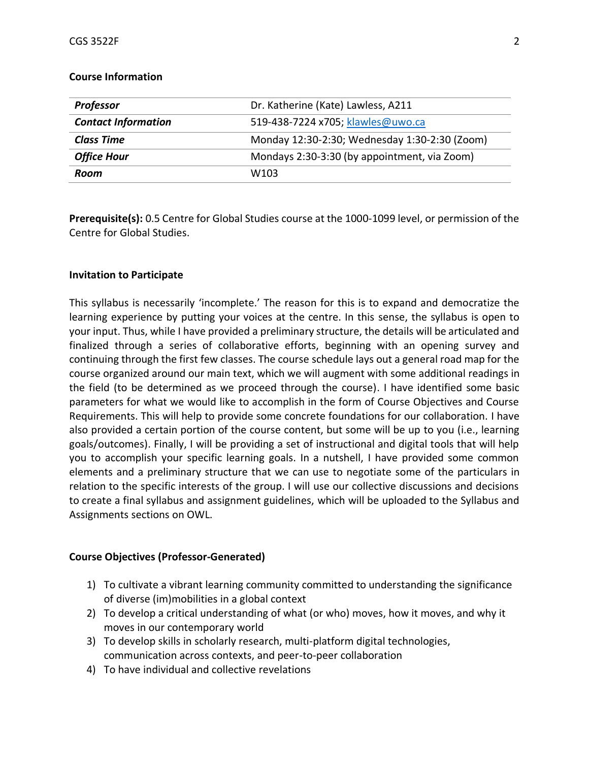| <b>Professor</b>           | Dr. Katherine (Kate) Lawless, A211            |
|----------------------------|-----------------------------------------------|
| <b>Contact Information</b> | 519-438-7224 x705; klawles@uwo.ca             |
| <b>Class Time</b>          | Monday 12:30-2:30; Wednesday 1:30-2:30 (Zoom) |
| <b>Office Hour</b>         | Mondays 2:30-3:30 (by appointment, via Zoom)  |
| Room                       | W <sub>103</sub>                              |

#### **Course Information**

**Prerequisite(s):** 0.5 Centre for Global Studies course at the 1000-1099 level, or permission of the Centre for Global Studies.

#### **Invitation to Participate**

This syllabus is necessarily 'incomplete.' The reason for this is to expand and democratize the learning experience by putting your voices at the centre. In this sense, the syllabus is open to your input. Thus, while I have provided a preliminary structure, the details will be articulated and finalized through a series of collaborative efforts, beginning with an opening survey and continuing through the first few classes. The course schedule lays out a general road map for the course organized around our main text, which we will augment with some additional readings in the field (to be determined as we proceed through the course). I have identified some basic parameters for what we would like to accomplish in the form of Course Objectives and Course Requirements. This will help to provide some concrete foundations for our collaboration. I have also provided a certain portion of the course content, but some will be up to you (i.e., learning goals/outcomes). Finally, I will be providing a set of instructional and digital tools that will help you to accomplish your specific learning goals. In a nutshell, I have provided some common elements and a preliminary structure that we can use to negotiate some of the particulars in relation to the specific interests of the group. I will use our collective discussions and decisions to create a final syllabus and assignment guidelines, which will be uploaded to the Syllabus and Assignments sections on OWL.

#### **Course Objectives (Professor-Generated)**

- 1) To cultivate a vibrant learning community committed to understanding the significance of diverse (im)mobilities in a global context
- 2) To develop a critical understanding of what (or who) moves, how it moves, and why it moves in our contemporary world
- 3) To develop skills in scholarly research, multi-platform digital technologies, communication across contexts, and peer-to-peer collaboration
- 4) To have individual and collective revelations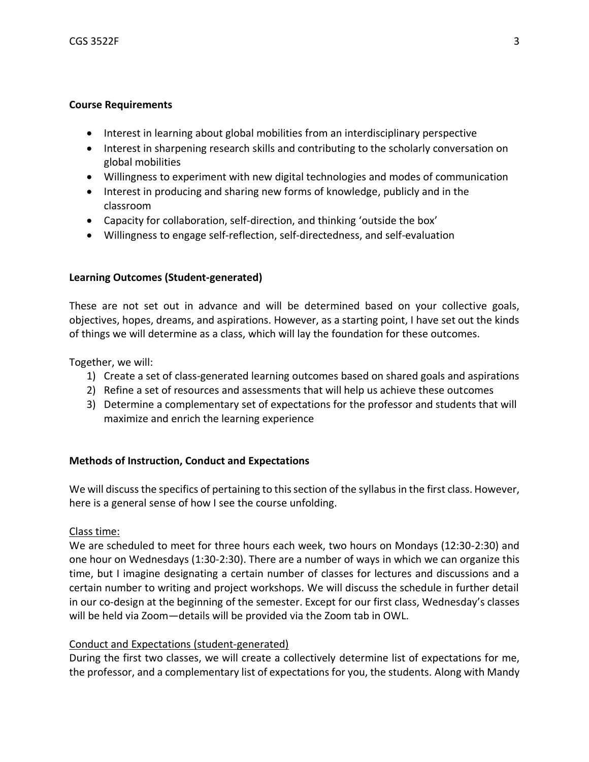### **Course Requirements**

- Interest in learning about global mobilities from an interdisciplinary perspective
- Interest in sharpening research skills and contributing to the scholarly conversation on global mobilities
- Willingness to experiment with new digital technologies and modes of communication
- Interest in producing and sharing new forms of knowledge, publicly and in the classroom
- Capacity for collaboration, self-direction, and thinking 'outside the box'
- Willingness to engage self-reflection, self-directedness, and self-evaluation

## **Learning Outcomes (Student-generated)**

These are not set out in advance and will be determined based on your collective goals, objectives, hopes, dreams, and aspirations. However, as a starting point, I have set out the kinds of things we will determine as a class, which will lay the foundation for these outcomes.

Together, we will:

- 1) Create a set of class-generated learning outcomes based on shared goals and aspirations
- 2) Refine a set of resources and assessments that will help us achieve these outcomes
- 3) Determine a complementary set of expectations for the professor and students that will maximize and enrich the learning experience

## **Methods of Instruction, Conduct and Expectations**

We will discuss the specifics of pertaining to this section of the syllabus in the first class. However, here is a general sense of how I see the course unfolding.

Class time:

We are scheduled to meet for three hours each week, two hours on Mondays (12:30-2:30) and one hour on Wednesdays (1:30-2:30). There are a number of ways in which we can organize this time, but I imagine designating a certain number of classes for lectures and discussions and a certain number to writing and project workshops. We will discuss the schedule in further detail in our co-design at the beginning of the semester. Except for our first class, Wednesday's classes will be held via Zoom—details will be provided via the Zoom tab in OWL.

## Conduct and Expectations (student-generated)

During the first two classes, we will create a collectively determine list of expectations for me, the professor, and a complementary list of expectations for you, the students. Along with Mandy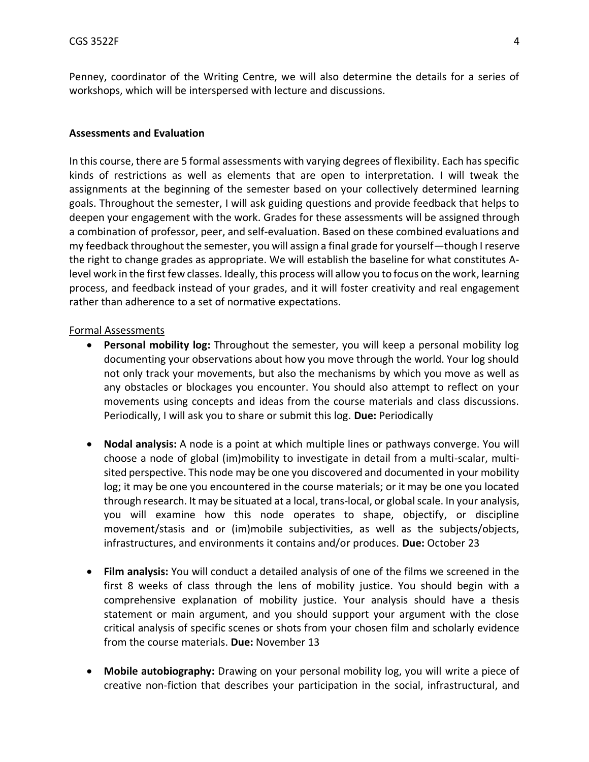Penney, coordinator of the Writing Centre, we will also determine the details for a series of workshops, which will be interspersed with lecture and discussions.

### **Assessments and Evaluation**

In this course, there are 5 formal assessments with varying degrees of flexibility. Each has specific kinds of restrictions as well as elements that are open to interpretation. I will tweak the assignments at the beginning of the semester based on your collectively determined learning goals. Throughout the semester, I will ask guiding questions and provide feedback that helps to deepen your engagement with the work. Grades for these assessments will be assigned through a combination of professor, peer, and self-evaluation. Based on these combined evaluations and my feedback throughout the semester, you will assign a final grade for yourself—though I reserve the right to change grades as appropriate. We will establish the baseline for what constitutes Alevel work in the first few classes. Ideally, this process will allow you to focus on the work, learning process, and feedback instead of your grades, and it will foster creativity and real engagement rather than adherence to a set of normative expectations.

### Formal Assessments

- **Personal mobility log:** Throughout the semester, you will keep a personal mobility log documenting your observations about how you move through the world. Your log should not only track your movements, but also the mechanisms by which you move as well as any obstacles or blockages you encounter. You should also attempt to reflect on your movements using concepts and ideas from the course materials and class discussions. Periodically, I will ask you to share or submit this log. **Due:** Periodically
- **Nodal analysis:** A node is a point at which multiple lines or pathways converge. You will choose a node of global (im)mobility to investigate in detail from a multi-scalar, multisited perspective. This node may be one you discovered and documented in your mobility log; it may be one you encountered in the course materials; or it may be one you located through research. It may be situated at a local, trans-local, or global scale. In your analysis, you will examine how this node operates to shape, objectify, or discipline movement/stasis and or (im)mobile subjectivities, as well as the subjects/objects, infrastructures, and environments it contains and/or produces. **Due:** October 23
- **Film analysis:** You will conduct a detailed analysis of one of the films we screened in the first 8 weeks of class through the lens of mobility justice. You should begin with a comprehensive explanation of mobility justice. Your analysis should have a thesis statement or main argument, and you should support your argument with the close critical analysis of specific scenes or shots from your chosen film and scholarly evidence from the course materials. **Due:** November 13
- **Mobile autobiography:** Drawing on your personal mobility log, you will write a piece of creative non-fiction that describes your participation in the social, infrastructural, and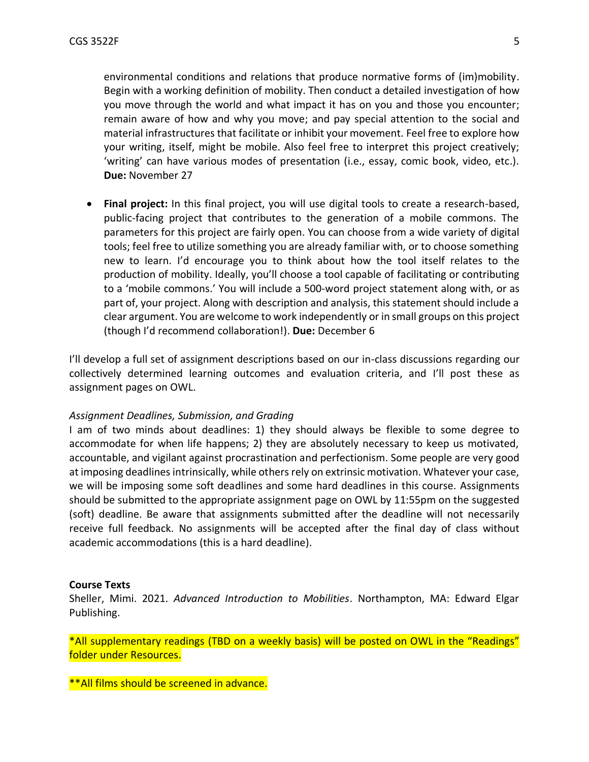environmental conditions and relations that produce normative forms of (im)mobility. Begin with a working definition of mobility. Then conduct a detailed investigation of how you move through the world and what impact it has on you and those you encounter; remain aware of how and why you move; and pay special attention to the social and material infrastructures that facilitate or inhibit your movement. Feel free to explore how your writing, itself, might be mobile. Also feel free to interpret this project creatively; 'writing' can have various modes of presentation (i.e., essay, comic book, video, etc.). **Due:** November 27

• **Final project:** In this final project, you will use digital tools to create a research-based, public-facing project that contributes to the generation of a mobile commons. The parameters for this project are fairly open. You can choose from a wide variety of digital tools; feel free to utilize something you are already familiar with, or to choose something new to learn. I'd encourage you to think about how the tool itself relates to the production of mobility. Ideally, you'll choose a tool capable of facilitating or contributing to a 'mobile commons.' You will include a 500-word project statement along with, or as part of, your project. Along with description and analysis, this statement should include a clear argument. You are welcome to work independently or in small groups on this project (though I'd recommend collaboration!). **Due:** December 6

I'll develop a full set of assignment descriptions based on our in-class discussions regarding our collectively determined learning outcomes and evaluation criteria, and I'll post these as assignment pages on OWL.

#### *Assignment Deadlines, Submission, and Grading*

I am of two minds about deadlines: 1) they should always be flexible to some degree to accommodate for when life happens; 2) they are absolutely necessary to keep us motivated, accountable, and vigilant against procrastination and perfectionism. Some people are very good at imposing deadlines intrinsically, while others rely on extrinsic motivation. Whatever your case, we will be imposing some soft deadlines and some hard deadlines in this course. Assignments should be submitted to the appropriate assignment page on OWL by 11:55pm on the suggested (soft) deadline. Be aware that assignments submitted after the deadline will not necessarily receive full feedback. No assignments will be accepted after the final day of class without academic accommodations (this is a hard deadline).

#### **Course Texts**

Sheller, Mimi. 2021. *Advanced Introduction to Mobilities*. Northampton, MA: Edward Elgar Publishing.

\*All supplementary readings (TBD on a weekly basis) will be posted on OWL in the "Readings" folder under Resources.

\*\*All films should be screened in advance.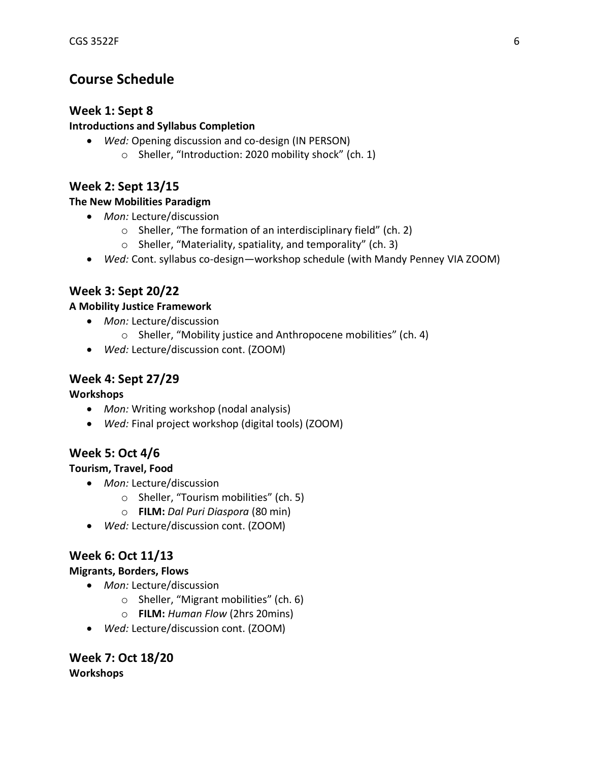# **Course Schedule**

# **Week 1: Sept 8**

## **Introductions and Syllabus Completion**

- *Wed:* Opening discussion and co-design (IN PERSON)
	- o Sheller, "Introduction: 2020 mobility shock" (ch. 1)

# **Week 2: Sept 13/15**

## **The New Mobilities Paradigm**

- *Mon:* Lecture/discussion
	- o Sheller, "The formation of an interdisciplinary field" (ch. 2)
	- o Sheller, "Materiality, spatiality, and temporality" (ch. 3)
- *Wed:* Cont. syllabus co-design—workshop schedule (with Mandy Penney VIA ZOOM)

# **Week 3: Sept 20/22**

# **A Mobility Justice Framework**

- *Mon:* Lecture/discussion
	- o Sheller, "Mobility justice and Anthropocene mobilities" (ch. 4)
- *Wed:* Lecture/discussion cont. (ZOOM)

# **Week 4: Sept 27/29**

**Workshops**

- *Mon:* Writing workshop (nodal analysis)
- *Wed:* Final project workshop (digital tools) (ZOOM)

# **Week 5: Oct 4/6**

# **Tourism, Travel, Food**

- *Mon:* Lecture/discussion
	- o Sheller, "Tourism mobilities" (ch. 5)
	- o **FILM:** *Dal Puri Diaspora* (80 min)
- *Wed:* Lecture/discussion cont. (ZOOM)

# **Week 6: Oct 11/13**

# **Migrants, Borders, Flows**

- *Mon:* Lecture/discussion
	- o Sheller, "Migrant mobilities" (ch. 6)
	- o **FILM:** *Human Flow* (2hrs 20mins)
- *Wed:* Lecture/discussion cont. (ZOOM)

**Week 7: Oct 18/20 Workshops**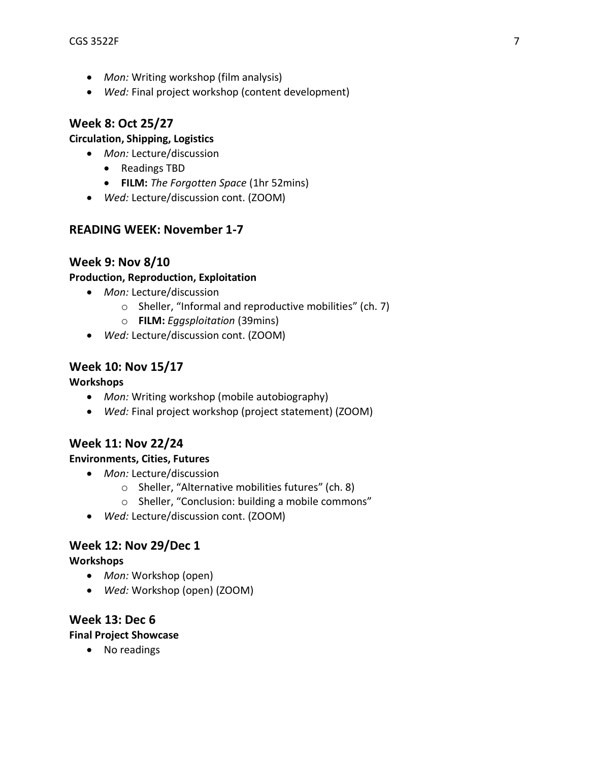- *Mon:* Writing workshop (film analysis)
- *Wed:* Final project workshop (content development)

# **Week 8: Oct 25/27**

## **Circulation, Shipping, Logistics**

- *Mon:* Lecture/discussion
	- Readings TBD
	- **FILM:** *The Forgotten Space* (1hr 52mins)
- *Wed:* Lecture/discussion cont. (ZOOM)

# **READING WEEK: November 1-7**

# **Week 9: Nov 8/10**

## **Production, Reproduction, Exploitation**

- *Mon:* Lecture/discussion
	- o Sheller, "Informal and reproductive mobilities" (ch. 7)
	- o **FILM:** *Eggsploitation* (39mins)
- *Wed:* Lecture/discussion cont. (ZOOM)

# **Week 10: Nov 15/17**

## **Workshops**

- *Mon:* Writing workshop (mobile autobiography)
- *Wed:* Final project workshop (project statement) (ZOOM)

# **Week 11: Nov 22/24**

# **Environments, Cities, Futures**

- *Mon:* Lecture/discussion
	- o Sheller, "Alternative mobilities futures" (ch. 8)
	- o Sheller, "Conclusion: building a mobile commons"
- *Wed:* Lecture/discussion cont. (ZOOM)

# **Week 12: Nov 29/Dec 1**

## **Workshops**

- *Mon:* Workshop (open)
- *Wed:* Workshop (open) (ZOOM)

# **Week 13: Dec 6**

**Final Project Showcase**

• No readings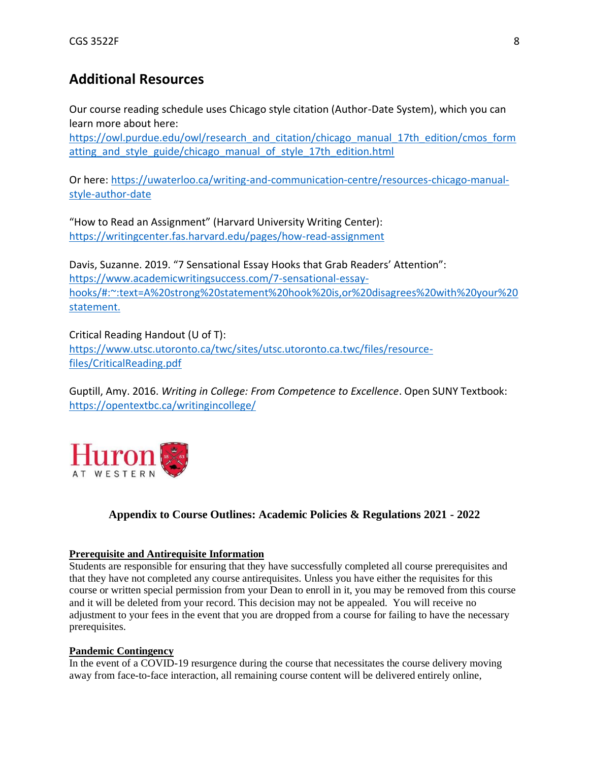# **Additional Resources**

Our course reading schedule uses Chicago style citation (Author-Date System), which you can learn more about here:

[https://owl.purdue.edu/owl/research\\_and\\_citation/chicago\\_manual\\_17th\\_edition/cmos\\_form](https://owl.purdue.edu/owl/research_and_citation/chicago_manual_17th_edition/cmos_formatting_and_style_guide/chicago_manual_of_style_17th_edition.html) atting and style guide/chicago manual of style 17th edition.html

Or here: [https://uwaterloo.ca/writing-and-communication-centre/resources-chicago-manual](https://uwaterloo.ca/writing-and-communication-centre/resources-chicago-manual-style-author-date)[style-author-date](https://uwaterloo.ca/writing-and-communication-centre/resources-chicago-manual-style-author-date)

"How to Read an Assignment" (Harvard University Writing Center): <https://writingcenter.fas.harvard.edu/pages/how-read-assignment>

Davis, Suzanne. 2019. "7 Sensational Essay Hooks that Grab Readers' Attention": [https://www.academicwritingsuccess.com/7-sensational-essay](https://www.academicwritingsuccess.com/7-sensational-essay-hooks/#:~:text=A%20strong%20statement%20hook%20is,or%20disagrees%20with%20your%20statement.)[hooks/#:~:text=A%20strong%20statement%20hook%20is,or%20disagrees%20with%20your%20](https://www.academicwritingsuccess.com/7-sensational-essay-hooks/#:~:text=A%20strong%20statement%20hook%20is,or%20disagrees%20with%20your%20statement.) [statement.](https://www.academicwritingsuccess.com/7-sensational-essay-hooks/#:~:text=A%20strong%20statement%20hook%20is,or%20disagrees%20with%20your%20statement.)

Critical Reading Handout (U of T): [https://www.utsc.utoronto.ca/twc/sites/utsc.utoronto.ca.twc/files/resource](https://www.utsc.utoronto.ca/twc/sites/utsc.utoronto.ca.twc/files/resource-files/CriticalReading.pdf)[files/CriticalReading.pdf](https://www.utsc.utoronto.ca/twc/sites/utsc.utoronto.ca.twc/files/resource-files/CriticalReading.pdf)

Guptill, Amy. 2016. *Writing in College: From Competence to Excellence*. Open SUNY Textbook: <https://opentextbc.ca/writingincollege/>



## **Appendix to Course Outlines: Academic Policies & Regulations 2021 - 2022**

#### **Prerequisite and Antirequisite Information**

Students are responsible for ensuring that they have successfully completed all course prerequisites and that they have not completed any course antirequisites. Unless you have either the requisites for this course or written special permission from your Dean to enroll in it, you may be removed from this course and it will be deleted from your record. This decision may not be appealed. You will receive no adjustment to your fees in the event that you are dropped from a course for failing to have the necessary prerequisites.

#### **Pandemic Contingency**

In the event of a COVID-19 resurgence during the course that necessitates the course delivery moving away from face-to-face interaction, all remaining course content will be delivered entirely online,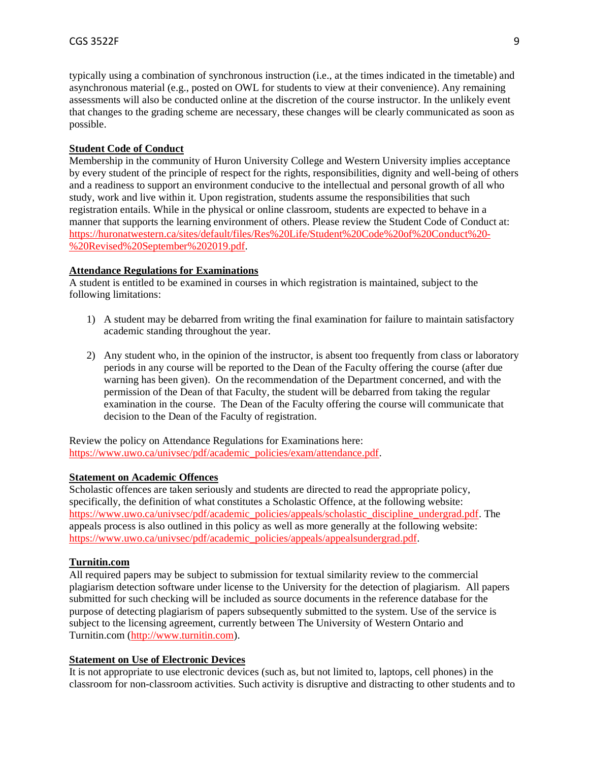typically using a combination of synchronous instruction (i.e., at the times indicated in the timetable) and asynchronous material (e.g., posted on OWL for students to view at their convenience). Any remaining assessments will also be conducted online at the discretion of the course instructor. In the unlikely event that changes to the grading scheme are necessary, these changes will be clearly communicated as soon as possible.

#### **Student Code of Conduct**

Membership in the community of Huron University College and Western University implies acceptance by every student of the principle of respect for the rights, responsibilities, dignity and well-being of others and a readiness to support an environment conducive to the intellectual and personal growth of all who study, work and live within it. Upon registration, students assume the responsibilities that such registration entails. While in the physical or online classroom, students are expected to behave in a manner that supports the learning environment of others. Please review the Student Code of Conduct at: [https://huronatwestern.ca/sites/default/files/Res%20Life/Student%20Code%20of%20Conduct%20-](https://huronatwestern.ca/sites/default/files/Res%20Life/Student%20Code%20of%20Conduct%20-%20Revised%20September%202019.pdf) [%20Revised%20September%202019.pdf.](https://huronatwestern.ca/sites/default/files/Res%20Life/Student%20Code%20of%20Conduct%20-%20Revised%20September%202019.pdf)

### **Attendance Regulations for Examinations**

A student is entitled to be examined in courses in which registration is maintained, subject to the following limitations:

- 1) A student may be debarred from writing the final examination for failure to maintain satisfactory academic standing throughout the year.
- 2) Any student who, in the opinion of the instructor, is absent too frequently from class or laboratory periods in any course will be reported to the Dean of the Faculty offering the course (after due warning has been given). On the recommendation of the Department concerned, and with the permission of the Dean of that Faculty, the student will be debarred from taking the regular examination in the course. The Dean of the Faculty offering the course will communicate that decision to the Dean of the Faculty of registration.

Review the policy on Attendance Regulations for Examinations here: [https://www.uwo.ca/univsec/pdf/academic\\_policies/exam/attendance.pdf.](https://www.uwo.ca/univsec/pdf/academic_policies/exam/attendance.pdf)

#### **Statement on Academic Offences**

Scholastic offences are taken seriously and students are directed to read the appropriate policy, specifically, the definition of what constitutes a Scholastic Offence, at the following website: [https://www.uwo.ca/univsec/pdf/academic\\_policies/appeals/scholastic\\_discipline\\_undergrad.pdf.](https://www.uwo.ca/univsec/pdf/academic_policies/appeals/scholastic_discipline_undergrad.pdf) The appeals process is also outlined in this policy as well as more generally at the following website: [https://www.uwo.ca/univsec/pdf/academic\\_policies/appeals/appealsundergrad.pdf.](https://www.uwo.ca/univsec/pdf/academic_policies/appeals/appealsundergrad.pdf)

### **Turnitin.com**

All required papers may be subject to submission for textual similarity review to the commercial plagiarism detection software under license to the University for the detection of plagiarism. All papers submitted for such checking will be included as source documents in the reference database for the purpose of detecting plagiarism of papers subsequently submitted to the system. Use of the service is subject to the licensing agreement, currently between The University of Western Ontario and Turnitin.com [\(http://www.turnitin.com\)](http://www.turnitin.com/).

### **Statement on Use of Electronic Devices**

It is not appropriate to use electronic devices (such as, but not limited to, laptops, cell phones) in the classroom for non-classroom activities. Such activity is disruptive and distracting to other students and to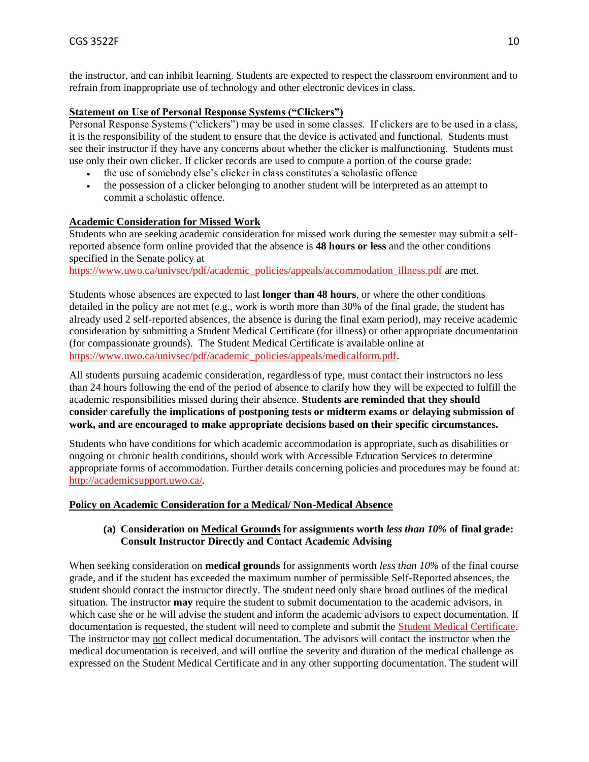the instructor, and can inhibit learning. Students are expected to respect the classroom environment and to refrain from inappropriate use of technology and other electronic devices in class.

### **Statement on Use of Personal Response Systems ("Clickers")**

Personal Response Systems ("clickers") may be used in some classes. If clickers are to be used in a class, it is the responsibility of the student to ensure that the device is activated and functional. Students must see their instructor if they have any concerns about whether the clicker is malfunctioning. Students must use only their own clicker. If clicker records are used to compute a portion of the course grade:

- the use of somebody else's clicker in class constitutes a scholastic offence
- the possession of a clicker belonging to another student will be interpreted as an attempt to commit a scholastic offence.

### **Academic Consideration for Missed Work**

Students who are seeking academic consideration for missed work during the semester may submit a selfreported absence form online provided that the absence is **48 hours or less** and the other conditions specified in the Senate policy at

[https://www.uwo.ca/univsec/pdf/academic\\_policies/appeals/accommodation\\_illness.pdf](https://www.uwo.ca/univsec/pdf/academic_policies/appeals/accommodation_illness.pdf) are met.

Students whose absences are expected to last **longer than 48 hours**, or where the other conditions detailed in the policy are not met (e.g., work is worth more than 30% of the final grade, the student has already used 2 self-reported absences, the absence is during the final exam period), may receive academic consideration by submitting a Student Medical Certificate (for illness) or other appropriate documentation (for compassionate grounds). The Student Medical Certificate is available online at [https://www.uwo.ca/univsec/pdf/academic\\_policies/appeals/medicalform.pdf.](https://www.uwo.ca/univsec/pdf/academic_policies/appeals/medicalform.pdf)

All students pursuing academic consideration, regardless of type, must contact their instructors no less than 24 hours following the end of the period of absence to clarify how they will be expected to fulfill the academic responsibilities missed during their absence. **Students are reminded that they should consider carefully the implications of postponing tests or midterm exams or delaying submission of work, and are encouraged to make appropriate decisions based on their specific circumstances.**

Students who have conditions for which academic accommodation is appropriate, such as disabilities or ongoing or chronic health conditions, should work with Accessible Education Services to determine appropriate forms of accommodation. Further details concerning policies and procedures may be found at: [http://academicsupport.uwo.ca/.](http://academicsupport.uwo.ca/)

### **Policy on Academic Consideration for a Medical/ Non-Medical Absence**

### **(a) Consideration on Medical Grounds for assignments worth** *less than 10%* **of final grade: Consult Instructor Directly and Contact Academic Advising**

When seeking consideration on **medical grounds** for assignments worth *less than 10%* of the final course grade, and if the student has exceeded the maximum number of permissible Self-Reported absences, the student should contact the instructor directly. The student need only share broad outlines of the medical situation. The instructor **may** require the student to submit documentation to the academic advisors, in which case she or he will advise the student and inform the academic advisors to expect documentation. If documentation is requested, the student will need to complete and submit the [Student Medical Certificate.](https://www.uwo.ca/univsec/pdf/academic_policies/appeals/medicalform_15JUN.pdf) The instructor may not collect medical documentation. The advisors will contact the instructor when the medical documentation is received, and will outline the severity and duration of the medical challenge as expressed on the Student Medical Certificate and in any other supporting documentation. The student will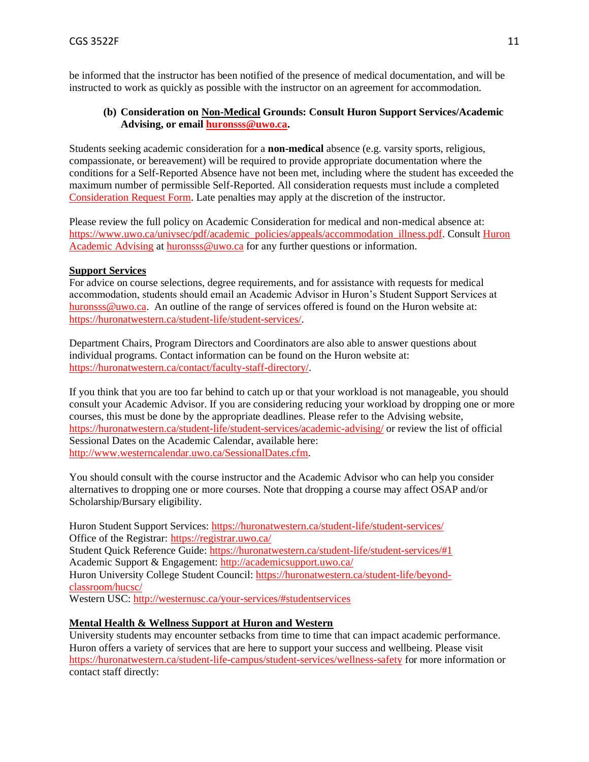be informed that the instructor has been notified of the presence of medical documentation, and will be instructed to work as quickly as possible with the instructor on an agreement for accommodation.

### **(b) Consideration on Non-Medical Grounds: Consult Huron Support Services/Academic Advising, or email [huronsss@uwo.ca.](mailto:huronsss@uwo.ca)**

Students seeking academic consideration for a **non-medical** absence (e.g. varsity sports, religious, compassionate, or bereavement) will be required to provide appropriate documentation where the conditions for a Self-Reported Absence have not been met, including where the student has exceeded the maximum number of permissible Self-Reported. All consideration requests must include a completed [Consideration Request Form.](https://huronatwestern.ca/sites/default/files/Forms/Academic%20Consideration%20Request%20Form%202020.pdf) Late penalties may apply at the discretion of the instructor.

Please review the full policy on Academic Consideration for medical and non-medical absence at: [https://www.uwo.ca/univsec/pdf/academic\\_policies/appeals/accommodation\\_illness.pdf.](https://www.uwo.ca/univsec/pdf/academic_policies/appeals/accommodation_illness.pdf) Consult [Huron](https://huronatwestern.ca/student-life/student-services/academic-advising/)  [Academic Advising](https://huronatwestern.ca/student-life/student-services/academic-advising/) at [huronsss@uwo.ca](mailto:huronsss@uwo.ca) for any further questions or information.

#### **Support Services**

For advice on course selections, degree requirements, and for assistance with requests for medical accommodation, students should email an Academic Advisor in Huron's Student Support Services at [huronsss@uwo.ca.](mailto:huronsss@uwo.ca) An outline of the range of services offered is found on the Huron website at: [https://huronatwestern.ca/student-life/student-services/.](https://huronatwestern.ca/student-life/student-services/)

Department Chairs, Program Directors and Coordinators are also able to answer questions about individual programs. Contact information can be found on the Huron website at: [https://huronatwestern.ca/contact/faculty-staff-directory/.](https://huronatwestern.ca/contact/faculty-staff-directory/)

If you think that you are too far behind to catch up or that your workload is not manageable, you should consult your Academic Advisor. If you are considering reducing your workload by dropping one or more courses, this must be done by the appropriate deadlines. Please refer to the Advising website, <https://huronatwestern.ca/student-life/student-services/academic-advising/> or review the list of official Sessional Dates on the Academic Calendar, available here: [http://www.westerncalendar.uwo.ca/SessionalDates.cfm.](http://www.westerncalendar.uwo.ca/SessionalDates.cfm)

You should consult with the course instructor and the Academic Advisor who can help you consider alternatives to dropping one or more courses. Note that dropping a course may affect OSAP and/or Scholarship/Bursary eligibility.

Huron Student Support Services:<https://huronatwestern.ca/student-life/student-services/> Office of the Registrar: <https://registrar.uwo.ca/> Student Quick Reference Guide:<https://huronatwestern.ca/student-life/student-services/#1> Academic Support & Engagement:<http://academicsupport.uwo.ca/> Huron University College Student Council: [https://huronatwestern.ca/student-life/beyond](https://huronatwestern.ca/student-life/beyond-classroom/hucsc/)[classroom/hucsc/](https://huronatwestern.ca/student-life/beyond-classroom/hucsc/)  Western USC[: http://westernusc.ca/your-services/#studentservices](http://westernusc.ca/your-services/#studentservices)

### **Mental Health & Wellness Support at Huron and Western**

University students may encounter setbacks from time to time that can impact academic performance. Huron offers a variety of services that are here to support your success and wellbeing. Please visit <https://huronatwestern.ca/student-life-campus/student-services/wellness-safety> for more information or contact staff directly: